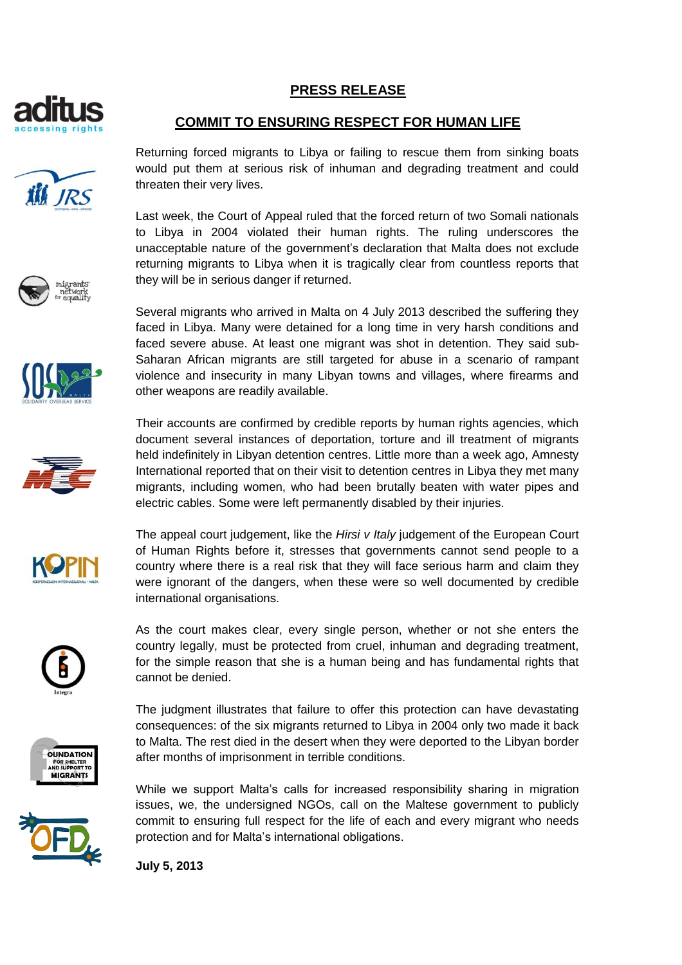

**ill** JRS

## **PRESS RELEASE**

## **COMMIT TO ENSURING RESPECT FOR HUMAN LIFE**

Returning forced migrants to Libya or failing to rescue them from sinking boats would put them at serious risk of inhuman and degrading treatment and could threaten their very lives.

Last week, the Court of Appeal ruled that the forced return of two Somali nationals to Libya in 2004 violated their human rights. The ruling underscores the unacceptable nature of the government's declaration that Malta does not exclude returning migrants to Libya when it is tragically clear from countless reports that they will be in serious danger if returned.

Several migrants who arrived in Malta on 4 July 2013 described the suffering they faced in Libya. Many were detained for a long time in very harsh conditions and faced severe abuse. At least one migrant was shot in detention. They said sub-Saharan African migrants are still targeted for abuse in a scenario of rampant violence and insecurity in many Libyan towns and villages, where firearms and other weapons are readily available.

Their accounts are confirmed by credible reports by human rights agencies, which document several instances of deportation, torture and ill treatment of migrants held indefinitely in Libyan detention centres. Little more than a week ago, Amnesty International reported that on their visit to detention centres in Libya they met many migrants, including women, who had been brutally beaten with water pipes and electric cables. Some were left permanently disabled by their injuries.



The appeal court judgement, like the *Hirsi v Italy* judgement of the European Court of Human Rights before it, stresses that governments cannot send people to a country where there is a real risk that they will face serious harm and claim they were ignorant of the dangers, when these were so well documented by credible international organisations.

As the court makes clear, every single person, whether or not she enters the country legally, must be protected from cruel, inhuman and degrading treatment, for the simple reason that she is a human being and has fundamental rights that cannot be denied.

The judgment illustrates that failure to offer this protection can have devastating consequences: of the six migrants returned to Libya in 2004 only two made it back to Malta. The rest died in the desert when they were deported to the Libyan border after months of imprisonment in terrible conditions.

While we support Malta's calls for increased responsibility sharing in migration issues, we, the undersigned NGOs, call on the Maltese government to publicly commit to ensuring full respect for the life of each and every migrant who needs protection and for Malta's international obligations.

**July 5, 2013**